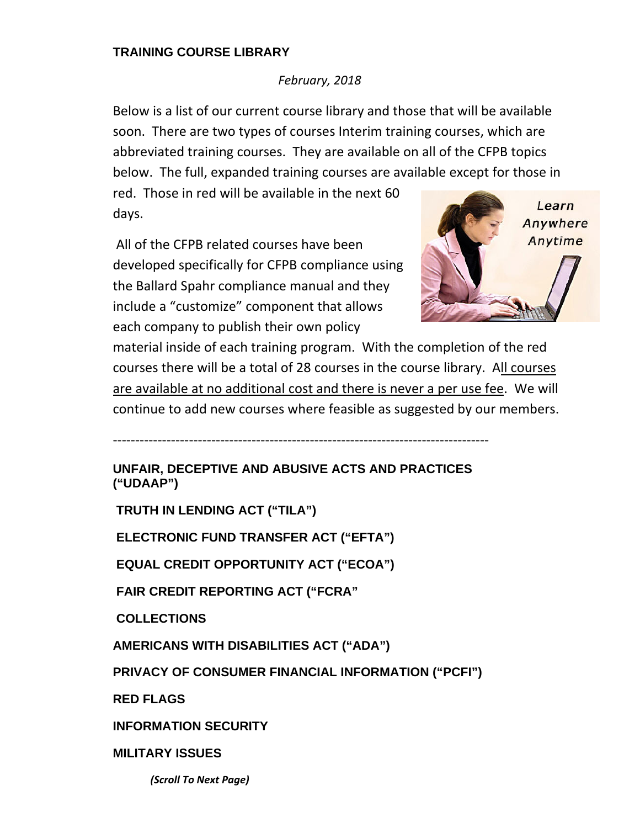## **TRAINING COURSE LIBRARY**

## *February, 2018*

Below is a list of our current course library and those that will be available soon. There are two types of courses Interim training courses, which are abbreviated training courses. They are available on all of the CFPB topics below. The full, expanded training courses are available except for those in

red. Those in red will be available in the next 60 days.

All of the CFPB related courses have been developed specifically for CFPB compliance using the Ballard Spahr compliance manual and they include a "customize" component that allows each company to publish their own policy



material inside of each training program. With the completion of the red courses there will be a total of 28 courses in the course library. All courses are available at no additional cost and there is never a per use fee. We will continue to add new courses where feasible as suggested by our members.

**UNFAIR, DECEPTIVE AND ABUSIVE ACTS AND PRACTICES ("UDAAP")** 

‐‐‐‐‐‐‐‐‐‐‐‐‐‐‐‐‐‐‐‐‐‐‐‐‐‐‐‐‐‐‐‐‐‐‐‐‐‐‐‐‐‐‐‐‐‐‐‐‐‐‐‐‐‐‐‐‐‐‐‐‐‐‐‐‐‐‐‐‐‐‐‐‐‐‐‐‐‐‐‐‐‐‐‐

 **TRUTH IN LENDING ACT ("TILA")** 

 **ELECTRONIC FUND TRANSFER ACT ("EFTA")** 

 **EQUAL CREDIT OPPORTUNITY ACT ("ECOA")** 

 **FAIR CREDIT REPORTING ACT ("FCRA"** 

 **COLLECTIONS**

**AMERICANS WITH DISABILITIES ACT ("ADA")** 

**PRIVACY OF CONSUMER FINANCIAL INFORMATION ("PCFI")** 

**RED FLAGS** 

**INFORMATION SECURITY** 

**MILITARY ISSUES** 

*(Scroll To Next Page)*